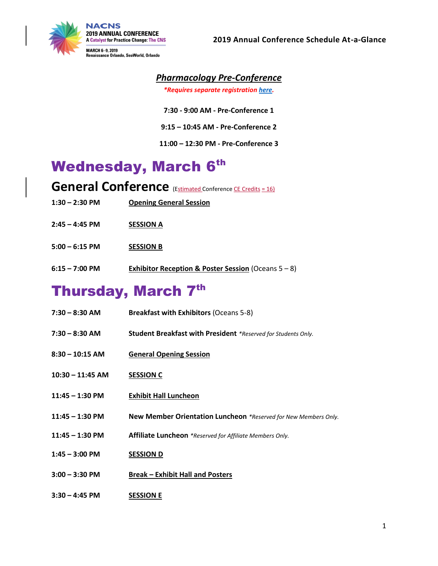

#### *Pharmacology Pre-Conference*

*\*Requires separate registration [here.](https://portal.nacns.org/NACNS/Events/Event_Display.aspx?EventKey=AM2019)*

- **7:30 - 9:00 AM - Pre-Conference 1**
- **9:15 – 10:45 AM - Pre-Conference 2**
- **11:00 – 12:30 PM - Pre-Conference 3**

# **Wednesday, March 6th**

**General Conference** (Estimated Conference CE Credits = 16)

- **1:30 – 2:30 PM Opening General Session**
- **2:45 – 4:45 PM SESSION A**
- **5:00 – 6:15 PM SESSION B**
- **6:15 – 7:00 PM Exhibitor Reception & Poster Session** (Oceans 5 8)

### Thursday, March 7th

| $7:30 - 8:30$ AM   | <b>Breakfast with Exhibitors (Oceans 5-8)</b>                   |
|--------------------|-----------------------------------------------------------------|
| $7:30 - 8:30$ AM   | Student Breakfast with President *Reserved for Students Only.   |
| $8:30 - 10:15$ AM  | <b>General Opening Session</b>                                  |
| $10:30 - 11:45$ AM | <b>SESSION C</b>                                                |
| $11:45 - 1:30$ PM  | <b>Exhibit Hall Luncheon</b>                                    |
| $11:45 - 1:30$ PM  | New Member Orientation Luncheon *Reserved for New Members Only. |
| $11:45 - 1:30$ PM  | Affiliate Luncheon *Reserved for Affiliate Members Only.        |
| $1:45 - 3:00$ PM   | <b>SESSION D</b>                                                |
| $3:00 - 3:30$ PM   | <b>Break - Exhibit Hall and Posters</b>                         |
| $3:30 - 4:45$ PM   | <b>SESSION E</b>                                                |